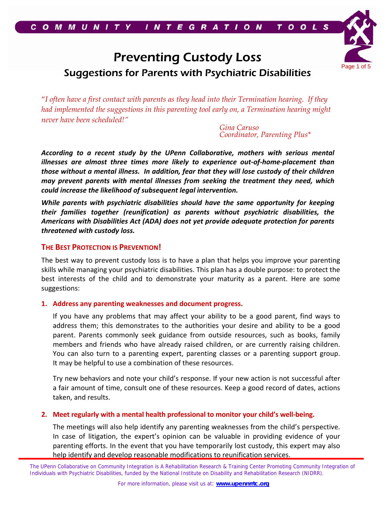# Preventing Custody Loss Suggestions for Parents with Psychiatric Disabilities

"*I often have a first contact with parents as they head into their Termination hearing. If they had implemented the suggestions in this parenting tool early on, a Termination hearing might never have been scheduled!"* 

> *Gina Caruso Coordinator, Parenting Plus\**

Page 1 of 5

*According to a recent study by the UPenn Collaborative, mothers with serious mental illnesses are almost three times more likely to experience out‐of‐home‐placement than those without a mental illness. In addition, fear that they will lose custody of their children may prevent parents with mental illnesses from seeking the treatment they need, which could increase the likelihood of subsequent legal intervention.*

*While parents with psychiatric disabilities should have the same opportunity for keeping their families together (reunification) as parents without psychiatric disabilities, the Americans with Disabilities Act (ADA) does not yet provide adequate protection for parents threatened with custody loss.*

### **THE BEST PROTECTION IS PREVENTION!**

The best way to prevent custody loss is to have a plan that helps you improve your parenting skills while managing your psychiatric disabilities. This plan has a double purpose: to protect the best interests of the child and to demonstrate your maturity as a parent. Here are some suggestions:

### **1. Address any parenting weaknesses and document progress.**

If you have any problems that may affect your ability to be a good parent, find ways to address them; this demonstrates to the authorities your desire and ability to be a good parent. Parents commonly seek guidance from outside resources, such as books, family members and friends who have already raised children, or are currently raising children. You can also turn to a parenting expert, parenting classes or a parenting support group. It may be helpful to use a combination of these resources.

Try new behaviors and note your child's response. If your new action is not successful after a fair amount of time, consult one of these resources. Keep a good record of dates, actions taken, and results.

### **2. Meet regularly with a mental health professional to monitor your child's well‐being.**

The meetings will also help identify any parenting weaknesses from the child's perspective. In case of litigation, the expert's opinion can be valuable in providing evidence of your parenting efforts. In the event that you have temporarily lost custody, this expert may also help identify and develop reasonable modifications to reunification services.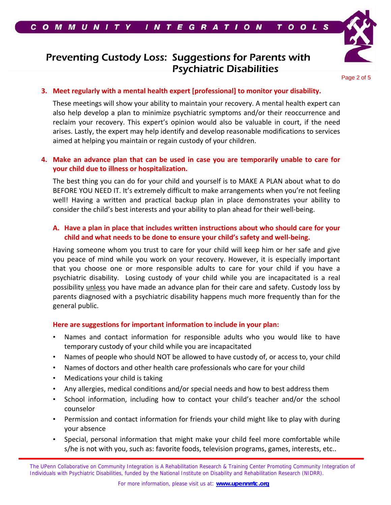

## Preventing Custody Loss: Suggestions for Parents with Psychiatric Disabilities

Page 2 of 5

### **3. Meet regularly with a mental health expert [professional] to monitor your disability.**

These meetings will show your ability to maintain your recovery. A mental health expert can also help develop a plan to minimize psychiatric symptoms and/or their reoccurrence and reclaim your recovery. This expert's opinion would also be valuable in court, if the need arises. Lastly, the expert may help identify and develop reasonable modifications to services aimed at helping you maintain or regain custody of your children.

## **4. Make an advance plan that can be used in case you are temporarily unable to care for your child due to illness or hospitalization.**

The best thing you can do for your child and yourself is to MAKE A PLAN about what to do BEFORE YOU NEED IT. It's extremely difficult to make arrangements when you're not feeling well! Having a written and practical backup plan in place demonstrates your ability to consider the child's best interests and your ability to plan ahead for their well‐being.

## **A. Have a plan in place that includes written instructions about who should care for your child and what needs to be done to ensure your child's safety and well‐being.**

Having someone whom you trust to care for your child will keep him or her safe and give you peace of mind while you work on your recovery. However, it is especially important that you choose one or more responsible adults to care for your child if you have a psychiatric disability. Losing custody of your child while you are incapacitated is a real possibility unless you have made an advance plan for their care and safety. Custody loss by parents diagnosed with a psychiatric disability happens much more frequently than for the general public.

#### **Here are suggestions for important information to include in your plan:**

- Names and contact information for responsible adults who you would like to have temporary custody of your child while you are incapacitated
- Names of people who should NOT be allowed to have custody of, or access to, your child
- Names of doctors and other health care professionals who care for your child
- Medications your child is taking
- Any allergies, medical conditions and/or special needs and how to best address them
- School information, including how to contact your child's teacher and/or the school counselor
- Permission and contact information for friends your child might like to play with during your absence
- Special, personal information that might make your child feel more comfortable while s/he is not with you, such as: favorite foods, television programs, games, interests, etc..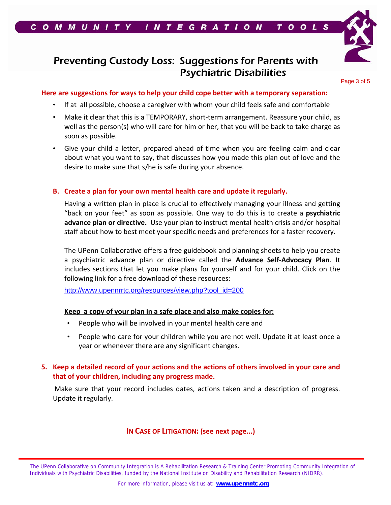



## Preventing Custody Loss: Suggestions for Parents with Psychiatric Disabilities

Page 3 of 5

## **Here are suggestions for ways to help your child cope better with a temporary separation:**

- If at all possible, choose a caregiver with whom your child feels safe and comfortable
- Make it clear that this is a TEMPORARY, short‐term arrangement. Reassure your child, as well as the person(s) who will care for him or her, that you will be back to take charge as soon as possible.
- Give your child a letter, prepared ahead of time when you are feeling calm and clear about what you want to say, that discusses how you made this plan out of love and the desire to make sure that s/he is safe during your absence.

## **B. Create a plan for your own mental health care and update it regularly.**

Having a written plan in place is crucial to effectively managing your illness and getting "back on your feet" as soon as possible. One way to do this is to create a **psychiatric advance plan or directive.** Use your plan to instruct mental health crisis and/or hospital staff about how to best meet your specific needs and preferences for a faster recovery.

The UPenn Collaborative offers a free guidebook and planning sheets to help you create a psychiatric advance plan or directive called the **Advance Self‐Advocacy Plan**. It includes sections that let you make plans for yourself and for your child. Click on the following link for a free download of these resources:

http://www.upennrrtc.org/resources/view.php?tool\_id=200

### **Keep a copy of your plan in a safe place and also make copies for:**

- People who will be involved in your mental health care and
- People who care for your children while you are not well. Update it at least once a year or whenever there are any significant changes.

## **5. Keep a detailed record of your actions and the actions of others involved in your care and that of your children, including any progress made.**

Make sure that your record includes dates, actions taken and a description of progress. Update it regularly.

## **IN CASE OF LITIGATION: (see next page...)**

The UPenn Collaborative on Community Integration is A Rehabilitation Research & Training Center Promoting Community Integration of Individuals with Psychiatric Disabilities, funded by the National Institute on Disability and Rehabilitation Research (NIDRR).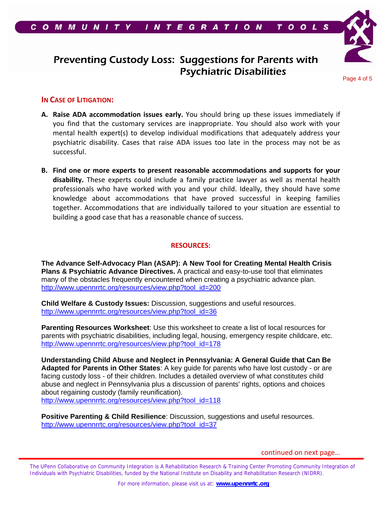

## Preventing Custody Loss: Suggestions for Parents with Psychiatric Disabilities

Page 4 of 5

### **IN CASE OF LITIGATION:**

- **A. Raise ADA accommodation issues early.** You should bring up these issues immediately if you find that the customary services are inappropriate. You should also work with your mental health expert(s) to develop individual modifications that adequately address your psychiatric disability. Cases that raise ADA issues too late in the process may not be as successful.
- **B. Find one or more experts to present reasonable accommodations and supports for your disability.** These experts could include a family practice lawyer as well as mental health professionals who have worked with you and your child. Ideally, they should have some knowledge about accommodations that have proved successful in keeping families together. Accommodations that are individually tailored to your situation are essential to building a good case that has a reasonable chance of success.

#### **RESOURCES:**

**The Advance Self-Advocacy Plan (ASAP): A New Tool for Creating Mental Health Crisis Plans & Psychiatric Advance Directives.** A practical and easy-to-use tool that eliminates many of the obstacles frequently encountered when creating a psychiatric advance plan. http://www.upennrrtc.org/resources/view.php?tool\_id=200

**Child Welfare & Custody Issues:** Discussion, suggestions and useful resources. http://www.upennrrtc.org/resources/view.php?tool\_id=36

**Parenting Resources Worksheet**: Use this worksheet to create a list of local resources for parents with psychiatric disabilities, including legal, housing, emergency respite childcare, etc. http://www.upennrrtc.org/resources/view.php?tool\_id=178

**Understanding Child Abuse and Neglect in Pennsylvania: A General Guide that Can Be Adapted for Parents in Other States**: A key guide for parents who have lost custody - or are facing custody loss - of their children. Includes a detailed overview of what constitutes child abuse and neglect in Pennsylvania plus a discussion of parents' rights, options and choices about regaining custody (family reunification). http://www.upennrrtc.org/resources/view.php?tool\_id=118

**Positive Parenting & Child Resilience**: Discussion, suggestions and useful resources. http://www.upennrrtc.org/resources/view.php?tool\_id=37

continued on next page…